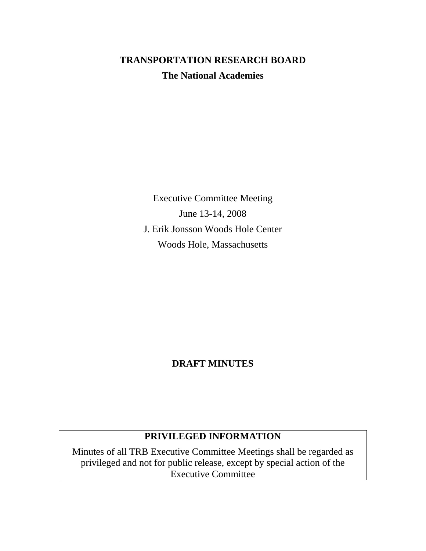# **TRANSPORTATION RESEARCH BOARD The National Academies**

Executive Committee Meeting June 13-14, 2008 J. Erik Jonsson Woods Hole Center Woods Hole, Massachusetts

# **DRAFT MINUTES**

# **PRIVILEGED INFORMATION**

Minutes of all TRB Executive Committee Meetings shall be regarded as privileged and not for public release, except by special action of the Executive Committee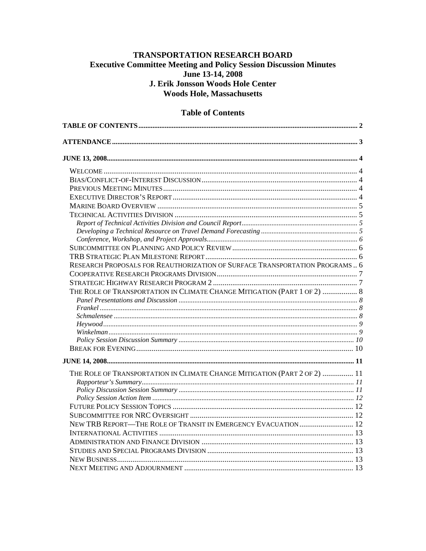# <span id="page-1-0"></span>**TRANSPORTATION RESEARCH BOARD Executive Committee Meeting and Policy Session Discussion Minutes** June 13-14, 2008 J. Erik Jonsson Woods Hole Center **Woods Hole, Massachusetts**

# 

# **Table of Contents**

| RESEARCH PROPOSALS FOR REAUTHORIZATION OF SURFACE TRANSPORTATION PROGRAMS 6 |  |
|-----------------------------------------------------------------------------|--|
|                                                                             |  |
|                                                                             |  |
| THE ROLE OF TRANSPORTATION IN CLIMATE CHANGE MITIGATION (PART 1 OF 2)  8    |  |
|                                                                             |  |
|                                                                             |  |
|                                                                             |  |
|                                                                             |  |
|                                                                             |  |
|                                                                             |  |
|                                                                             |  |
|                                                                             |  |
| THE ROLE OF TRANSPORTATION IN CLIMATE CHANGE MITIGATION (PART 2 OF 2)  11   |  |
|                                                                             |  |
|                                                                             |  |
|                                                                             |  |
|                                                                             |  |
|                                                                             |  |
| NEW TRB REPORT—THE ROLE OF TRANSIT IN EMERGENCY EVACUATION  12              |  |
|                                                                             |  |
|                                                                             |  |
|                                                                             |  |
|                                                                             |  |
|                                                                             |  |
|                                                                             |  |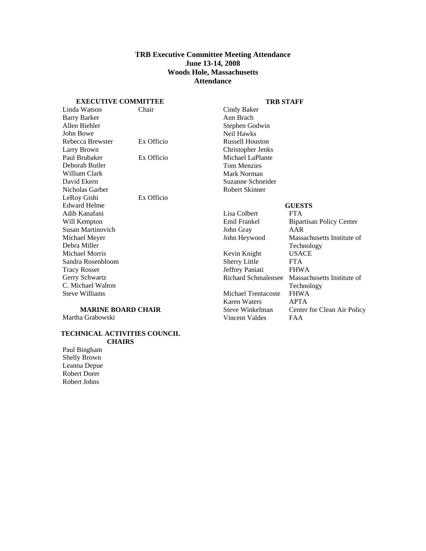# **TRB Executive Committee Meeting Attendance June 13-14, 2008 Woods Hole, Massachusetts Attendance**

### **EXECUTIVE COMMITTEE**

### **TRB STAFF**

<span id="page-2-0"></span>

| Chair                     | Cindy Baker                |                                 |
|---------------------------|----------------------------|---------------------------------|
|                           | Ann Brach                  |                                 |
|                           | Stephen Godwin             |                                 |
|                           | Neil Hawks                 |                                 |
| Ex Officio                | <b>Russell Houston</b>     |                                 |
|                           | Christopher Jenks          |                                 |
| Ex Officio                | Michael LaPlante           |                                 |
|                           | <b>Tom Menzies</b>         |                                 |
|                           | Mark Norman                |                                 |
|                           | Suzanne Schneider          |                                 |
|                           | <b>Robert Skinner</b>      |                                 |
| Ex Officio                |                            |                                 |
|                           |                            | <b>GUESTS</b>                   |
|                           | Lisa Colbert               | <b>FTA</b>                      |
|                           | Emil Frankel               | <b>Bipartisan Policy Center</b> |
|                           | John Gray                  | AAR                             |
|                           | John Heywood               | Massachusetts Institute of      |
|                           |                            | Technology                      |
|                           | Kevin Knight               | <b>USACE</b>                    |
|                           | <b>Sherry Little</b>       | <b>FTA</b>                      |
|                           | Jeffrey Paniati            | <b>FHWA</b>                     |
|                           |                            | Massachusetts Institute of      |
|                           |                            | Technology                      |
|                           | <b>Michael Trentacoste</b> | <b>FHWA</b>                     |
|                           | <b>Karen Waters</b>        | <b>APTA</b>                     |
| <b>MARINE BOARD CHAIR</b> | Steve Winkelman            | Center for Clean Air Policy     |
|                           | Vincent Valdes             | <b>FAA</b>                      |
|                           |                            | <b>Richard Schmalensee</b>      |

### **TECHNICAL ACTIVITIES COUNCIL CHAIRS**

Paul Bingham Shelly Brown Leanna Depue Robert Dorer Robert Johns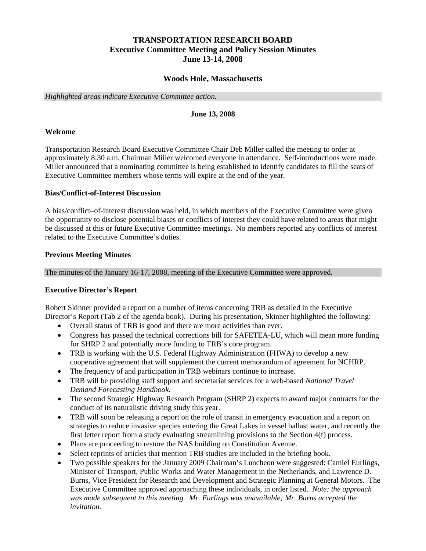# **TRANSPORTATION RESEARCH BOARD Executive Committee Meeting and Policy Session Minutes June 13-14, 2008**

# **Woods Hole, Massachusetts**

<span id="page-3-0"></span>*Highlighted areas indicate Executive Committee action.* 

### **June 13, 2008**

### **Welcome**

Transportation Research Board Executive Committee Chair Deb Miller called the meeting to order at approximately 8:30 a.m. Chairman Miller welcomed everyone in attendance. Self-introductions were made. Miller announced that a nominating committee is being established to identify candidates to fill the seats of Executive Committee members whose terms will expire at the end of the year.

### **Bias/Conflict-of-Interest Discussion**

A bias/conflict–of-interest discussion was held, in which members of the Executive Committee were given the opportunity to disclose potential biases or conflicts of interest they could have related to areas that might be discussed at this or future Executive Committee meetings. No members reported any conflicts of interest related to the Executive Committee's duties.

### **Previous Meeting Minutes**

The minutes of the January 16-17, 2008, meeting of the Executive Committee were approved.

# **Executive Director's Report**

Robert Skinner provided a report on a number of items concerning TRB as detailed in the Executive Director's Report (Tab 2 of the agenda book). During his presentation, Skinner highlighted the following:

- Overall status of TRB is good and there are more activities than ever.
- Congress has passed the technical corrections bill for SAFETEA-LU, which will mean more funding for SHRP 2 and potentially more funding to TRB's core program.
- TRB is working with the U.S. Federal Highway Administration (FHWA) to develop a new cooperative agreement that will supplement the current memorandum of agreement for NCHRP.
- The frequency of and participation in TRB webinars continue to increase.
- TRB will be providing staff support and secretariat services for a web-based *National Travel Demand Forecasting Handbook*.
- The second Strategic Highway Research Program (SHRP 2) expects to award major contracts for the conduct of its naturalistic driving study this year.
- TRB will soon be releasing a report on the role of transit in emergency evacuation and a report on strategies to reduce invasive species entering the Great Lakes in vessel ballast water, and recently the first letter report from a study evaluating streamlining provisions to the Section 4(f) process.
- Plans are proceeding to restore the NAS building on Constitution Avenue.
- Select reprints of articles that mention TRB studies are included in the briefing book.
- Two possible speakers for the January 2009 Chairman's Luncheon were suggested: Camiel Eurlings, Minister of Transport, Public Works and Water Management in the Netherlands, and Lawrence D. Burns, Vice President for Research and Development and Strategic Planning at General Motors. The Executive Committee approved approaching these individuals, in order listed. *Note: the approach was made subsequent to this meeting. Mr. Eurlings was unavailable; Mr. Burns accepted the invitation.*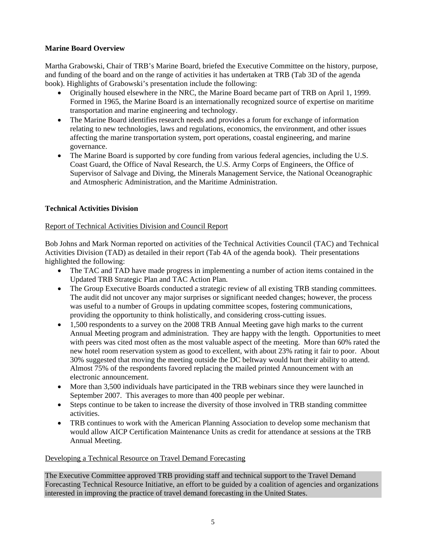# <span id="page-4-0"></span>**Marine Board Overview**

Martha Grabowski, Chair of TRB's Marine Board, briefed the Executive Committee on the history, purpose, and funding of the board and on the range of activities it has undertaken at TRB (Tab 3D of the agenda book). Highlights of Grabowski's presentation include the following:

- Originally housed elsewhere in the NRC, the Marine Board became part of TRB on April 1, 1999. Formed in 1965, the Marine Board is an internationally recognized source of expertise on maritime transportation and marine engineering and technology.
- The Marine Board identifies research needs and provides a forum for exchange of information relating to new technologies, laws and regulations, economics, the environment, and other issues affecting the marine transportation system, port operations, coastal engineering, and marine governance.
- The Marine Board is supported by core funding from various federal agencies, including the U.S. Coast Guard, the Office of Naval Research, the U.S. Army Corps of Engineers, the Office of Supervisor of Salvage and Diving, the Minerals Management Service, the National Oceanographic and Atmospheric Administration, and the Maritime Administration.

# **Technical Activities Division**

# Report of Technical Activities Division and Council Report

Bob Johns and Mark Norman reported on activities of the Technical Activities Council (TAC) and Technical Activities Division (TAD) as detailed in their report (Tab 4A of the agenda book). Their presentations highlighted the following:

- The TAC and TAD have made progress in implementing a number of action items contained in the Updated TRB Strategic Plan and TAC Action Plan.
- The Group Executive Boards conducted a strategic review of all existing TRB standing committees. The audit did not uncover any major surprises or significant needed changes; however, the process was useful to a number of Groups in updating committee scopes, fostering communications, providing the opportunity to think holistically, and considering cross-cutting issues.
- 1,500 respondents to a survey on the 2008 TRB Annual Meeting gave high marks to the current Annual Meeting program and administration. They are happy with the length. Opportunities to meet with peers was cited most often as the most valuable aspect of the meeting. More than 60% rated the new hotel room reservation system as good to excellent, with about 23% rating it fair to poor. About 30% suggested that moving the meeting outside the DC beltway would hurt their ability to attend. Almost 75% of the respondents favored replacing the mailed printed Announcement with an electronic announcement.
- More than 3,500 individuals have participated in the TRB webinars since they were launched in September 2007. This averages to more than 400 people per webinar.
- Steps continue to be taken to increase the diversity of those involved in TRB standing committee activities.
- TRB continues to work with the American Planning Association to develop some mechanism that would allow AICP Certification Maintenance Units as credit for attendance at sessions at the TRB Annual Meeting.

# Developing a Technical Resource on Travel Demand Forecasting

The Executive Committee approved TRB providing staff and technical support to the Travel Demand Forecasting Technical Resource Initiative, an effort to be guided by a coalition of agencies and organizations interested in improving the practice of travel demand forecasting in the United States.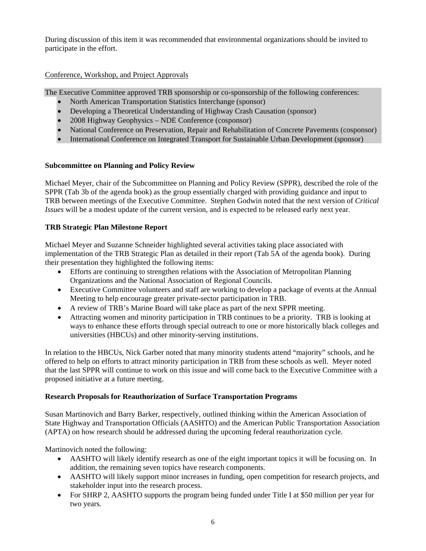<span id="page-5-0"></span>During discussion of this item it was recommended that environmental organizations should be invited to participate in the effort.

# Conference, Workshop, and Project Approvals

The Executive Committee approved TRB sponsorship or co-sponsorship of the following conferences:

- North American Transportation Statistics Interchange (sponsor)
- Developing a Theoretical Understanding of Highway Crash Causation (sponsor)
- 2008 Highway Geophysics NDE Conference (cosponsor)
- National Conference on Preservation, Repair and Rehabilitation of Concrete Pavements (cosponsor)
- International Conference on Integrated Transport for Sustainable Urban Development (sponsor)

# **Subcommittee on Planning and Policy Review**

Michael Meyer, chair of the Subcommittee on Planning and Policy Review (SPPR), described the role of the SPPR (Tab 3b of the agenda book) as the group essentially charged with providing guidance and input to TRB between meetings of the Executive Committee. Stephen Godwin noted that the next version of *Critical Issues* will be a modest update of the current version, and is expected to be released early next year.

# **TRB Strategic Plan Milestone Report**

Michael Meyer and Suzanne Schneider highlighted several activities taking place associated with implementation of the TRB Strategic Plan as detailed in their report (Tab 5A of the agenda book). During their presentation they highlighted the following items:

- Efforts are continuing to strengthen relations with the Association of Metropolitan Planning Organizations and the National Association of Regional Councils.
- Executive Committee volunteers and staff are working to develop a package of events at the Annual Meeting to help encourage greater private-sector participation in TRB.
- A review of TRB's Marine Board will take place as part of the next SPPR meeting.
- Attracting women and minority participation in TRB continues to be a priority. TRB is looking at ways to enhance these efforts through special outreach to one or more historically black colleges and universities (HBCUs) and other minority-serving institutions.

In relation to the HBCUs, Nick Garber noted that many minority students attend "majority" schools, and he offered to help on efforts to attract minority participation in TRB from these schools as well. Meyer noted that the last SPPR will continue to work on this issue and will come back to the Executive Committee with a proposed initiative at a future meeting.

# **Research Proposals for Reauthorization of Surface Transportation Programs**

Susan Martinovich and Barry Barker, respectively, outlined thinking within the American Association of State Highway and Transportation Officials (AASHTO) and the American Public Transportation Association (APTA) on how research should be addressed during the upcoming federal reauthorization cycle.

Martinovich noted the following:

- AASHTO will likely identify research as one of the eight important topics it will be focusing on. In addition, the remaining seven topics have research components.
- AASHTO will likely support minor increases in funding, open competition for research projects, and stakeholder input into the research process.
- For SHRP 2, AASHTO supports the program being funded under Title I at \$50 million per year for two years.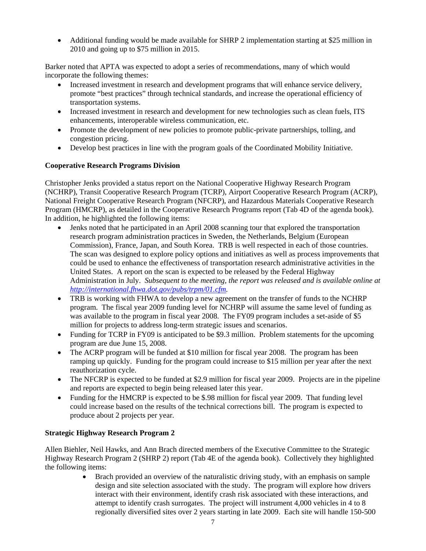<span id="page-6-0"></span>• Additional funding would be made available for SHRP 2 implementation starting at \$25 million in 2010 and going up to \$75 million in 2015.

Barker noted that APTA was expected to adopt a series of recommendations, many of which would incorporate the following themes:

- Increased investment in research and development programs that will enhance service delivery, promote "best practices" through technical standards, and increase the operational efficiency of transportation systems.
- Increased investment in research and development for new technologies such as clean fuels, ITS enhancements, interoperable wireless communication, etc.
- Promote the development of new policies to promote public-private partnerships, tolling, and congestion pricing.
- Develop best practices in line with the program goals of the Coordinated Mobility Initiative.

# **Cooperative Research Programs Division**

Christopher Jenks provided a status report on the National Cooperative Highway Research Program (NCHRP), Transit Cooperative Research Program (TCRP), Airport Cooperative Research Program (ACRP), National Freight Cooperative Research Program (NFCRP), and Hazardous Materials Cooperative Research Program (HMCRP), as detailed in the Cooperative Research Programs report (Tab 4D of the agenda book). In addition, he highlighted the following items:

- Jenks noted that he participated in an April 2008 scanning tour that explored the transportation research program administration practices in Sweden, the Netherlands, Belgium (European Commission), France, Japan, and South Korea. TRB is well respected in each of those countries. The scan was designed to explore policy options and initiatives as well as process improvements that could be used to enhance the effectiveness of transportation research administrative activities in the United States. A report on the scan is expected to be released by the Federal Highway Administration in July. *Subsequent to the meeting, the report was released and is available online at <http://international.fhwa.dot.gov/pubs/trpm/01.cfm>.*
- TRB is working with FHWA to develop a new agreement on the transfer of funds to the NCHRP program. The fiscal year 2009 funding level for NCHRP will assume the same level of funding as was available to the program in fiscal year 2008. The FY09 program includes a set-aside of \$5 million for projects to address long-term strategic issues and scenarios.
- Funding for TCRP in FY09 is anticipated to be \$9.3 million. Problem statements for the upcoming program are due June 15, 2008.
- The ACRP program will be funded at \$10 million for fiscal year 2008. The program has been ramping up quickly. Funding for the program could increase to \$15 million per year after the next reauthorization cycle.
- The NFCRP is expected to be funded at \$2.9 million for fiscal year 2009. Projects are in the pipeline and reports are expected to begin being released later this year.
- Funding for the HMCRP is expected to be \$.98 million for fiscal year 2009. That funding level could increase based on the results of the technical corrections bill. The program is expected to produce about 2 projects per year.

# **Strategic Highway Research Program 2**

Allen Biehler, Neil Hawks, and Ann Brach directed members of the Executive Committee to the Strategic Highway Research Program 2 (SHRP 2) report (Tab 4E of the agenda book). Collectively they highlighted the following items:

• Brach provided an overview of the naturalistic driving study, with an emphasis on sample design and site selection associated with the study. The program will explore how drivers interact with their environment, identify crash risk associated with these interactions, and attempt to identify crash surrogates. The project will instrument 4,000 vehicles in 4 to 8 regionally diversified sites over 2 years starting in late 2009. Each site will handle 150-500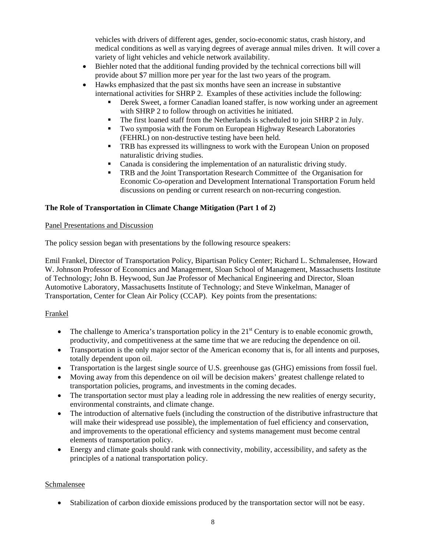<span id="page-7-0"></span>vehicles with drivers of different ages, gender, socio-economic status, crash history, and medical conditions as well as varying degrees of average annual miles driven. It will cover a variety of light vehicles and vehicle network availability.

- Biehler noted that the additional funding provided by the technical corrections bill will provide about \$7 million more per year for the last two years of the program.
- Hawks emphasized that the past six months have seen an increase in substantive international activities for SHRP 2. Examples of these activities include the following:
	- Derek Sweet, a former Canadian loaned staffer, is now working under an agreement with SHRP 2 to follow through on activities he initiated.
	- The first loaned staff from the Netherlands is scheduled to join SHRP 2 in July.
	- Two symposia with the Forum on European Highway Research Laboratories (FEHRL) on non-destructive testing have been held.
	- TRB has expressed its willingness to work with the European Union on proposed naturalistic driving studies.
	- Canada is considering the implementation of an naturalistic driving study.
	- **TRB** and the Joint Transportation Research Committee of the Organisation for Economic Co-operation and Development International Transportation Forum held discussions on pending or current research on non-recurring congestion.

# **The Role of Transportation in Climate Change Mitigation (Part 1 of 2)**

# Panel Presentations and Discussion

The policy session began with presentations by the following resource speakers:

Emil Frankel, Director of Transportation Policy, Bipartisan Policy Center; Richard L. Schmalensee, Howard W. Johnson Professor of Economics and Management, Sloan School of Management, Massachusetts Institute of Technology; John B. Heywood, Sun Jae Professor of Mechanical Engineering and Director, Sloan Automotive Laboratory, Massachusetts Institute of Technology; and Steve Winkelman, Manager of Transportation, Center for Clean Air Policy (CCAP). Key points from the presentations:

# Frankel

- The challenge to America's transportation policy in the  $21<sup>st</sup>$  Century is to enable economic growth, productivity, and competitiveness at the same time that we are reducing the dependence on oil.
- Transportation is the only major sector of the American economy that is, for all intents and purposes, totally dependent upon oil.
- Transportation is the largest single source of U.S. greenhouse gas (GHG) emissions from fossil fuel.
- Moving away from this dependence on oil will be decision makers' greatest challenge related to transportation policies, programs, and investments in the coming decades.
- The transportation sector must play a leading role in addressing the new realities of energy security, environmental constraints, and climate change.
- The introduction of alternative fuels (including the construction of the distributive infrastructure that will make their widespread use possible), the implementation of fuel efficiency and conservation, and improvements to the operational efficiency and systems management must become central elements of transportation policy.
- Energy and climate goals should rank with connectivity, mobility, accessibility, and safety as the principles of a national transportation policy.

# Schmalensee

• Stabilization of carbon dioxide emissions produced by the transportation sector will not be easy.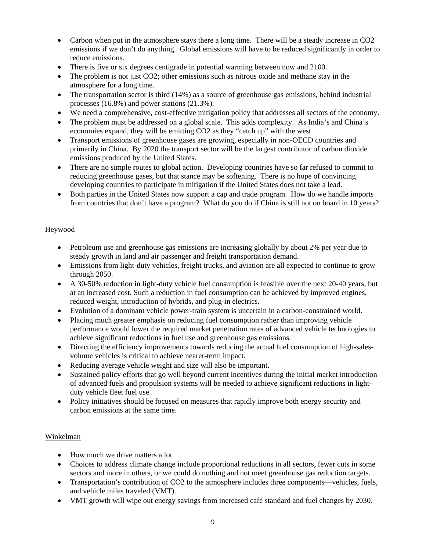- <span id="page-8-0"></span>• Carbon when put in the atmosphere stays there a long time. There will be a steady increase in CO2 emissions if we don't do anything. Global emissions will have to be reduced significantly in order to reduce emissions.
- There is five or six degrees centigrade in potential warming between now and 2100.
- The problem is not just CO2; other emissions such as nitrous oxide and methane stay in the atmosphere for a long time.
- The transportation sector is third (14%) as a source of greenhouse gas emissions, behind industrial processes (16.8%) and power stations (21.3%).
- We need a comprehensive, cost-effective mitigation policy that addresses all sectors of the economy.
- The problem must be addressed on a global scale. This adds complexity. As India's and China's economies expand, they will be emitting CO2 as they "catch up" with the west.
- Transport emissions of greenhouse gases are growing, especially in non-OECD countries and primarily in China. By 2020 the transport sector will be the largest contributor of carbon dioxide emissions produced by the United States.
- There are no simple routes to global action. Developing countries have so far refused to commit to reducing greenhouse gases, but that stance may be softening. There is no hope of convincing developing countries to participate in mitigation if the United States does not take a lead.
- Both parties in the United States now support a cap and trade program. How do we handle imports from countries that don't have a program? What do you do if China is still not on board in 10 years?

# Heywood

- Petroleum use and greenhouse gas emissions are increasing globally by about 2% per year due to steady growth in land and air passenger and freight transportation demand.
- Emissions from light-duty vehicles, freight trucks, and aviation are all expected to continue to grow through 2050.
- A 30-50% reduction in light-duty vehicle fuel consumption is feasible over the next 20-40 years, but at an increased cost. Such a reduction in fuel consumption can be achieved by improved engines, reduced weight, introduction of hybrids, and plug-in electrics.
- Evolution of a dominant vehicle power-train system is uncertain in a carbon-constrained world.
- Placing much greater emphasis on reducing fuel consumption rather than improving vehicle performance would lower the required market penetration rates of advanced vehicle technologies to achieve significant reductions in fuel use and greenhouse gas emissions.
- Directing the efficiency improvements towards reducing the actual fuel consumption of high-salesvolume vehicles is critical to achieve nearer-term impact.
- Reducing average vehicle weight and size will also be important.
- Sustained policy efforts that go well beyond current incentives during the initial market introduction of advanced fuels and propulsion systems will be needed to achieve significant reductions in lightduty vehicle fleet fuel use.
- Policy initiatives should be focused on measures that rapidly improve both energy security and carbon emissions at the same time.

# Winkelman

- How much we drive matters a lot.
- Choices to address climate change include proportional reductions in all sectors, fewer cuts in some sectors and more in others, or we could do nothing and not meet greenhouse gas reduction targets.
- Transportation's contribution of CO2 to the atmosphere includes three components—vehicles, fuels, and vehicle miles traveled (VMT).
- VMT growth will wipe out energy savings from increased café standard and fuel changes by 2030.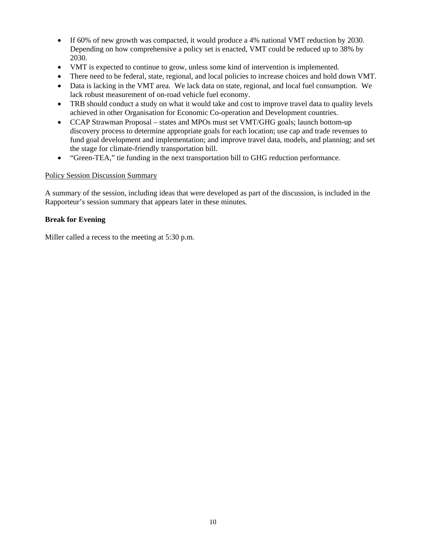- <span id="page-9-0"></span>• If 60% of new growth was compacted, it would produce a 4% national VMT reduction by 2030. Depending on how comprehensive a policy set is enacted, VMT could be reduced up to 38% by 2030.
- VMT is expected to continue to grow, unless some kind of intervention is implemented.
- There need to be federal, state, regional, and local policies to increase choices and hold down VMT.
- Data is lacking in the VMT area. We lack data on state, regional, and local fuel consumption. We lack robust measurement of on-road vehicle fuel economy.
- TRB should conduct a study on what it would take and cost to improve travel data to quality levels achieved in other Organisation for Economic Co-operation and Development countries.
- CCAP Strawman Proposal states and MPOs must set VMT/GHG goals; launch bottom-up discovery process to determine appropriate goals for each location; use cap and trade revenues to fund goal development and implementation; and improve travel data, models, and planning; and set the stage for climate-friendly transportation bill.
- "Green-TEA," tie funding in the next transportation bill to GHG reduction performance.

# Policy Session Discussion Summary

A summary of the session, including ideas that were developed as part of the discussion, is included in the Rapporteur's session summary that appears later in these minutes.

# **Break for Evening**

Miller called a recess to the meeting at 5:30 p.m.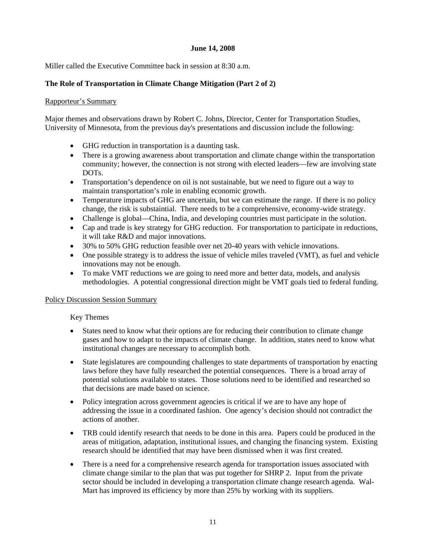# **June 14, 2008**

<span id="page-10-0"></span>Miller called the Executive Committee back in session at 8:30 a.m.

# **The Role of Transportation in Climate Change Mitigation (Part 2 of 2)**

# Rapporteur's Summary

Major themes and observations drawn by Robert C. Johns, Director, Center for Transportation Studies, University of Minnesota, from the previous day's presentations and discussion include the following:

- GHG reduction in transportation is a daunting task.
- There is a growing awareness about transportation and climate change within the transportation community; however, the connection is not strong with elected leaders—few are involving state DOTs.
- Transportation's dependence on oil is not sustainable, but we need to figure out a way to maintain transportation's role in enabling economic growth.
- Temperature impacts of GHG are uncertain, but we can estimate the range. If there is no policy change, the risk is substaintial. There needs to be a comprehensive, economy-wide strategy.
- Challenge is global—China, India, and developing countries must participate in the solution.
- Cap and trade is key strategy for GHG reduction. For transportation to participate in reductions, it will take R&D and major innovations.
- 30% to 50% GHG reduction feasible over net 20-40 years with vehicle innovations.
- One possible strategy is to address the issue of vehicle miles traveled (VMT), as fuel and vehicle innovations may not be enough.
- To make VMT reductions we are going to need more and better data, models, and analysis methodologies. A potential congressional direction might be VMT goals tied to federal funding.

# Policy Discussion Session Summary

# Key Themes

- States need to know what their options are for reducing their contribution to climate change gases and how to adapt to the impacts of climate change. In addition, states need to know what institutional changes are necessary to accomplish both.
- State legislatures are compounding challenges to state departments of transportation by enacting laws before they have fully researched the potential consequences. There is a broad array of potential solutions available to states. Those solutions need to be identified and researched so that decisions are made based on science.
- Policy integration across government agencies is critical if we are to have any hope of addressing the issue in a coordinated fashion. One agency's decision should not contradict the actions of another.
- TRB could identify research that needs to be done in this area. Papers could be produced in the areas of mitigation, adaptation, institutional issues, and changing the financing system. Existing research should be identified that may have been dismissed when it was first created.
- There is a need for a comprehensive research agenda for transportation issues associated with climate change similar to the plan that was put together for SHRP 2. Input from the private sector should be included in developing a transportation climate change research agenda. Wal-Mart has improved its efficiency by more than 25% by working with its suppliers.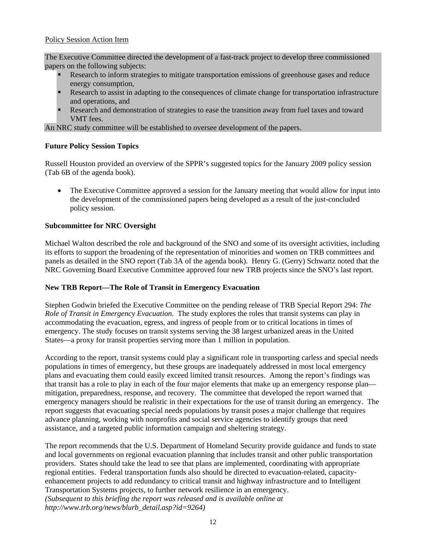# <span id="page-11-0"></span>Policy Session Action Item

The Executive Committee directed the development of a fast-track project to develop three commissioned papers on the following subjects:

- Research to inform strategies to mitigate transportation emissions of greenhouse gases and reduce energy consumption,
- Research to assist in adapting to the consequences of climate change for transportation infrastructure and operations, and
- Research and demonstration of strategies to ease the transition away from fuel taxes and toward VMT fees.

An NRC study committee will be established to oversee development of the papers.

# **Future Policy Session Topics**

Russell Houston provided an overview of the SPPR's suggested topics for the January 2009 policy session (Tab 6B of the agenda book).

• The Executive Committee approved a session for the January meeting that would allow for input into the development of the commissioned papers being developed as a result of the just-concluded policy session.

# **Subcommittee for NRC Oversight**

Michael Walton described the role and background of the SNO and some of its oversight activities, including its efforts to support the broadening of the representation of minorities and women on TRB committees and panels as detailed in the SNO report (Tab 3A of the agenda book). Henry G. (Gerry) Schwartz noted that the NRC Governing Board Executive Committee approved four new TRB projects since the SNO's last report.

# **New TRB Report—The Role of Transit in Emergency Evacuation**

Stephen Godwin briefed the Executive Committee on the pending release of TRB Special Report 294: *The Role of Transit in Emergency Evacuation*. The study explores the roles that transit systems can play in accommodating the evacuation, egress, and ingress of people from or to critical locations in times of emergency. The study focuses on transit systems serving the 38 largest urbanized areas in the United States—a proxy for transit properties serving more than 1 million in population.

According to the report, transit systems could play a significant role in transporting carless and special needs populations in times of emergency, but these groups are inadequately addressed in most local emergency plans and evacuating them could easily exceed limited transit resources. Among the report's findings was that transit has a role to play in each of the four major elements that make up an emergency response plan mitigation, preparedness, response, and recovery. The committee that developed the report warned that emergency managers should be realistic in their expectations for the use of transit during an emergency. The report suggests that evacuating special needs populations by transit poses a major challenge that requires advance planning, working with nonprofits and social service agencies to identify groups that need assistance, and a targeted public information campaign and sheltering strategy.

The report recommends that the U.S. Department of Homeland Security provide guidance and funds to state and local governments on regional evacuation planning that includes transit and other public transportation providers. States should take the lead to see that plans are implemented, coordinating with appropriate regional entities. Federal transportation funds also should be directed to evacuation-related, capacityenhancement projects to add redundancy to critical transit and highway infrastructure and to Intelligent Transportation Systems projects, to further network resilience in an emergency. *(Subsequent to this briefing the report was released and is available online at http://www.trb.org/news/blurb\_detail.asp?id=9264)*